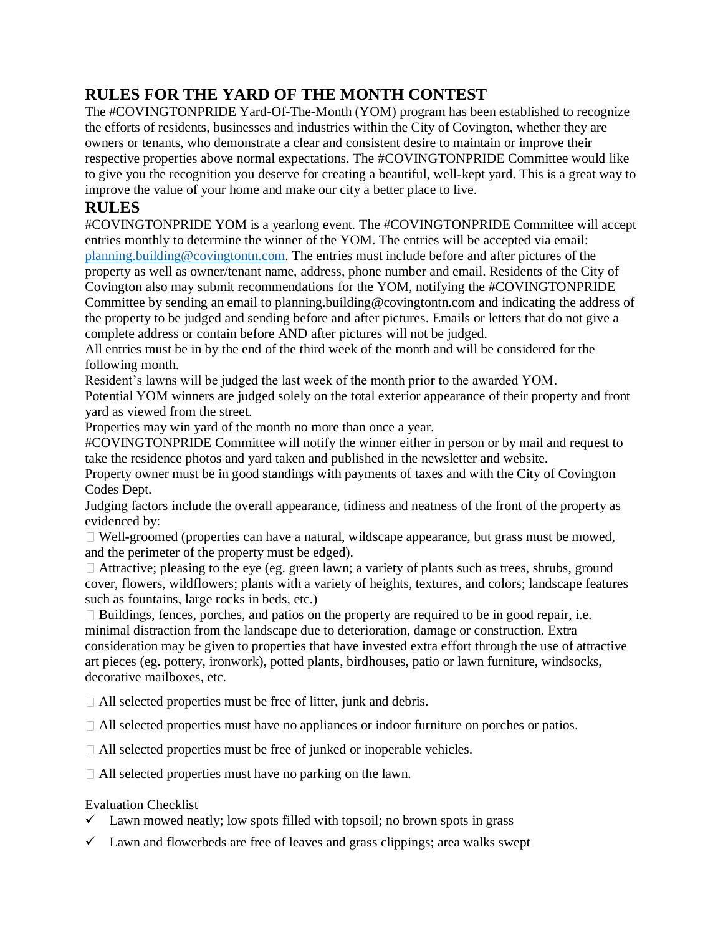# **RULES FOR THE YARD OF THE MONTH CONTEST**

The #COVINGTONPRIDE Yard-Of-The-Month (YOM) program has been established to recognize the efforts of residents, businesses and industries within the City of Covington, whether they are owners or tenants, who demonstrate a clear and consistent desire to maintain or improve their respective properties above normal expectations. The #COVINGTONPRIDE Committee would like to give you the recognition you deserve for creating a beautiful, well-kept yard. This is a great way to improve the value of your home and make our city a better place to live.

### **RULES**

#COVINGTONPRIDE YOM is a yearlong event. The #COVINGTONPRIDE Committee will accept entries monthly to determine the winner of the YOM. The entries will be accepted via email: [planning.building@covingtontn.com.](mailto:planning.building@covingtontn.com) The entries must include before and after pictures of the property as well as owner/tenant name, address, phone number and email. Residents of the City of Covington also may submit recommendations for the YOM, notifying the #COVINGTONPRIDE Committee by sending an email to planning.building@covingtontn.com and indicating the address of the property to be judged and sending before and after pictures. Emails or letters that do not give a complete address or contain before AND after pictures will not be judged.

All entries must be in by the end of the third week of the month and will be considered for the following month.

Resident's lawns will be judged the last week of the month prior to the awarded YOM.

Potential YOM winners are judged solely on the total exterior appearance of their property and front yard as viewed from the street.

Properties may win yard of the month no more than once a year.

#COVINGTONPRIDE Committee will notify the winner either in person or by mail and request to take the residence photos and yard taken and published in the newsletter and website.

Property owner must be in good standings with payments of taxes and with the City of Covington Codes Dept.

Judging factors include the overall appearance, tidiness and neatness of the front of the property as evidenced by:

Well-groomed (properties can have a natural, wildscape appearance, but grass must be mowed, and the perimeter of the property must be edged).

 $\Box$  Attractive; pleasing to the eye (eg. green lawn; a variety of plants such as trees, shrubs, ground cover, flowers, wildflowers; plants with a variety of heights, textures, and colors; landscape features such as fountains, large rocks in beds, etc.)

 $\Box$  Buildings, fences, porches, and patios on the property are required to be in good repair, i.e. minimal distraction from the landscape due to deterioration, damage or construction. Extra consideration may be given to properties that have invested extra effort through the use of attractive art pieces (eg. pottery, ironwork), potted plants, birdhouses, patio or lawn furniture, windsocks, decorative mailboxes, etc.

All selected properties must be free of litter, junk and debris.

All selected properties must have no appliances or indoor furniture on porches or patios.

All selected properties must be free of junked or inoperable vehicles.

All selected properties must have no parking on the lawn.

#### Evaluation Checklist

- $\checkmark$  Lawn mowed neatly; low spots filled with topsoil; no brown spots in grass
- $\checkmark$  Lawn and flowerbeds are free of leaves and grass clippings; area walks swept